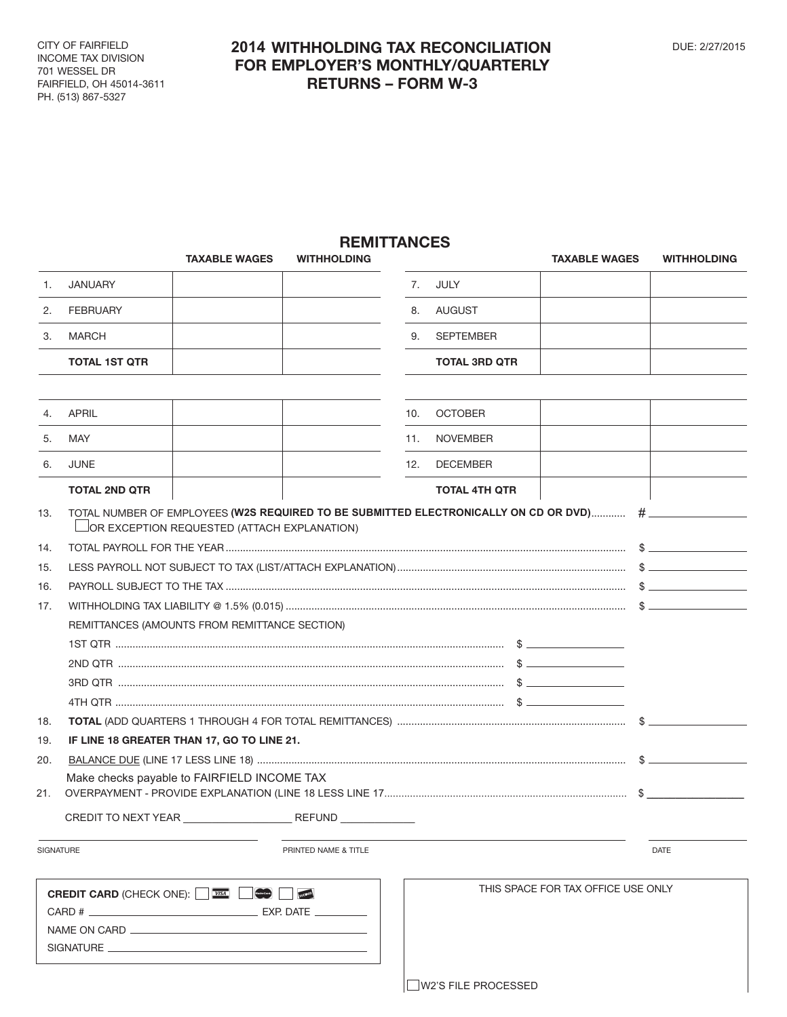CITY OF FAIRFIELD INCOME TAX DIVISION 701 WESSEL DR FAIRFIELD, OH 45014-3611 PH. (513) 867-5327  $\overline{C}$ I UF<br>OME UNIL IA וטטשע<br>ח ואופר

## **2014 WITHHOLDING TAX RECONCILIATION DUE: 2/27/2015 FOR EMPLOYER'S MONTHLY/QUARTERLY RETURNS – FORM W-3 EMPLOYER'S M**

## **REMITTANCES**

|                                               | <b>TAXABLE WAGES</b>                                                                                                                              | <b>WITHHOLDING</b>   |     |                                    | <b>TAXABLE WAGES</b> | <b>WITHHOLDING</b> |
|-----------------------------------------------|---------------------------------------------------------------------------------------------------------------------------------------------------|----------------------|-----|------------------------------------|----------------------|--------------------|
| 1.                                            | <b>JANUARY</b>                                                                                                                                    |                      | 7.  | JULY                               |                      |                    |
| 2.                                            | <b>FEBRUARY</b>                                                                                                                                   |                      | 8.  | AUGUST                             |                      |                    |
| 3.                                            | MARCH                                                                                                                                             |                      | 9.  | SEPTEMBER                          |                      |                    |
|                                               | <b>TOTAL 1ST QTR</b>                                                                                                                              |                      |     | <b>TOTAL 3RD QTR</b>               |                      |                    |
|                                               |                                                                                                                                                   |                      |     |                                    |                      |                    |
| 4.                                            | <b>APRIL</b>                                                                                                                                      |                      | 10. | <b>OCTOBER</b>                     |                      |                    |
| 5.                                            | MAY                                                                                                                                               |                      | 11. | <b>NOVEMBER</b>                    |                      |                    |
| 6.                                            | <b>JUNE</b>                                                                                                                                       |                      | 12. | <b>DECEMBER</b>                    |                      |                    |
|                                               | <b>TOTAL 2ND QTR</b>                                                                                                                              |                      |     | <b>TOTAL 4TH QTR</b>               |                      |                    |
| 13.                                           | TOTAL NUMBER OF EMPLOYEES (W2S REQUIRED TO BE SUBMITTED ELECTRONICALLY ON CD OR DVD)  # __________<br>OR EXCEPTION REQUESTED (ATTACH EXPLANATION) |                      |     |                                    |                      |                    |
| 14.                                           |                                                                                                                                                   |                      |     |                                    |                      |                    |
| 15.                                           |                                                                                                                                                   |                      |     |                                    |                      |                    |
| 16.                                           |                                                                                                                                                   |                      |     |                                    |                      |                    |
| 17.                                           |                                                                                                                                                   |                      |     |                                    |                      |                    |
|                                               | REMITTANCES (AMOUNTS FROM REMITTANCE SECTION)                                                                                                     |                      |     |                                    |                      |                    |
|                                               |                                                                                                                                                   |                      |     |                                    |                      |                    |
|                                               |                                                                                                                                                   |                      |     |                                    |                      |                    |
|                                               |                                                                                                                                                   |                      |     |                                    |                      |                    |
|                                               |                                                                                                                                                   |                      |     |                                    |                      |                    |
| 18.                                           |                                                                                                                                                   |                      |     |                                    |                      |                    |
| 19.                                           | IF LINE 18 GREATER THAN 17, GO TO LINE 21.                                                                                                        |                      |     |                                    |                      |                    |
| 20.                                           |                                                                                                                                                   |                      |     |                                    |                      |                    |
| 21.                                           | Make checks payable to FAIRFIELD INCOME TAX                                                                                                       |                      |     |                                    |                      | $\mathbb{S}$       |
|                                               |                                                                                                                                                   |                      |     |                                    |                      |                    |
|                                               | <b>SIGNATURE</b>                                                                                                                                  | PRINTED NAME & TITLE |     |                                    |                      | <b>DATE</b>        |
| <b>DUCOVER</b><br>MasterCard.<br>NAME ON CARD |                                                                                                                                                   |                      |     | THIS SPACE FOR TAX OFFICE USE ONLY |                      |                    |

\_\_|W2'S FILE PROCESSED